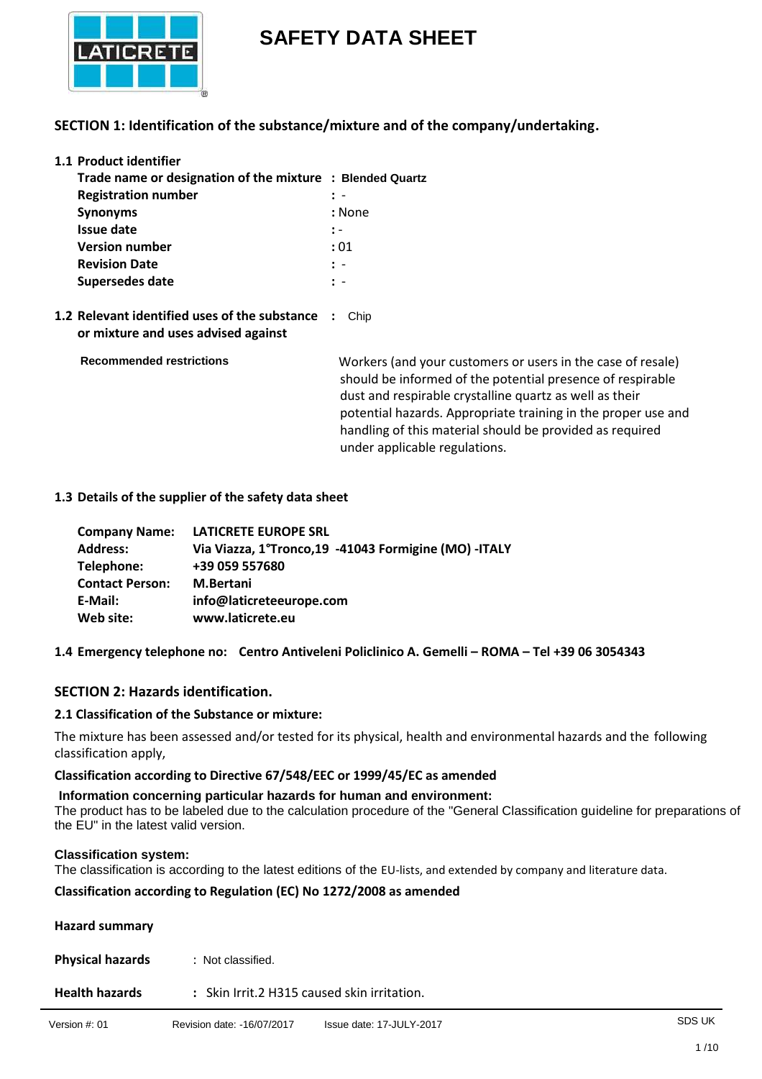

# **SAFETY DATA SHEET**

## **SECTION 1: Identification of the substance/mixture and of the company/undertaking.**

| 1.1 Product identifier                                    |                |  |  |
|-----------------------------------------------------------|----------------|--|--|
| Trade name or designation of the mixture : Blended Quartz |                |  |  |
| <b>Registration number</b>                                |                |  |  |
| <b>Synonyms</b>                                           | : None         |  |  |
| Issue date                                                | $\mathbf{.}$ - |  |  |
| <b>Version number</b>                                     | : 01           |  |  |
| <b>Revision Date</b>                                      | $\mathbf{r}$ - |  |  |
| Supersedes date                                           | $\cdot$ -      |  |  |
|                                                           |                |  |  |

**1.2 Relevant identified uses of the substance :** Chip **or mixture and uses advised against** 

 **Recommended restrictions** 

 Workers (and your customers or users in the case of resale) should be informed of the potential presence of respirable dust and respirable crystalline quartz as well as their potential hazards. Appropriate training in the proper use and handling of this material should be provided as required under applicable regulations.

### **1.3 Details of the supplier of the safety data sheet**

| <b>Company Name:</b>   | <b>LATICRETE EUROPE SRL</b>                             |
|------------------------|---------------------------------------------------------|
| <b>Address:</b>        | Via Viazza, 1°Tronco, 19 - 41043 Formigine (MO) - ITALY |
| Telephone:             | +39 059 557680                                          |
| <b>Contact Person:</b> | <b>M.Bertani</b>                                        |
| E-Mail:                | info@laticreteeurope.com                                |
| Web site:              | www.laticrete.eu                                        |

**1.4 Emergency telephone no: Centro Antiveleni Policlinico A. Gemelli – ROMA – Tel +39 06 3054343**

## **SECTION 2: Hazards identification.**

### **2.1 Classification of the Substance or mixture:**

The mixture has been assessed and/or tested for its physical, health and environmental hazards and the following classification apply,

**Classification according to Directive 67/548/EEC or 1999/45/EC as amended**

 **Information concerning particular hazards for human and environment:** The product has to be labeled due to the calculation procedure of the "General Classification guideline for preparations of the EU" in the latest valid version.

### **Classification system:**

The classification is according to the latest editions of the EU-lists, and extended by company and literature data.

### **Classification according to Regulation (EC) No 1272/2008 as amended**

## **Hazard summary**

| <b>Physical hazards</b> | : Not classified. |
|-------------------------|-------------------|
|-------------------------|-------------------|

**Health hazards :** Skin Irrit.2 H315 caused skin irritation.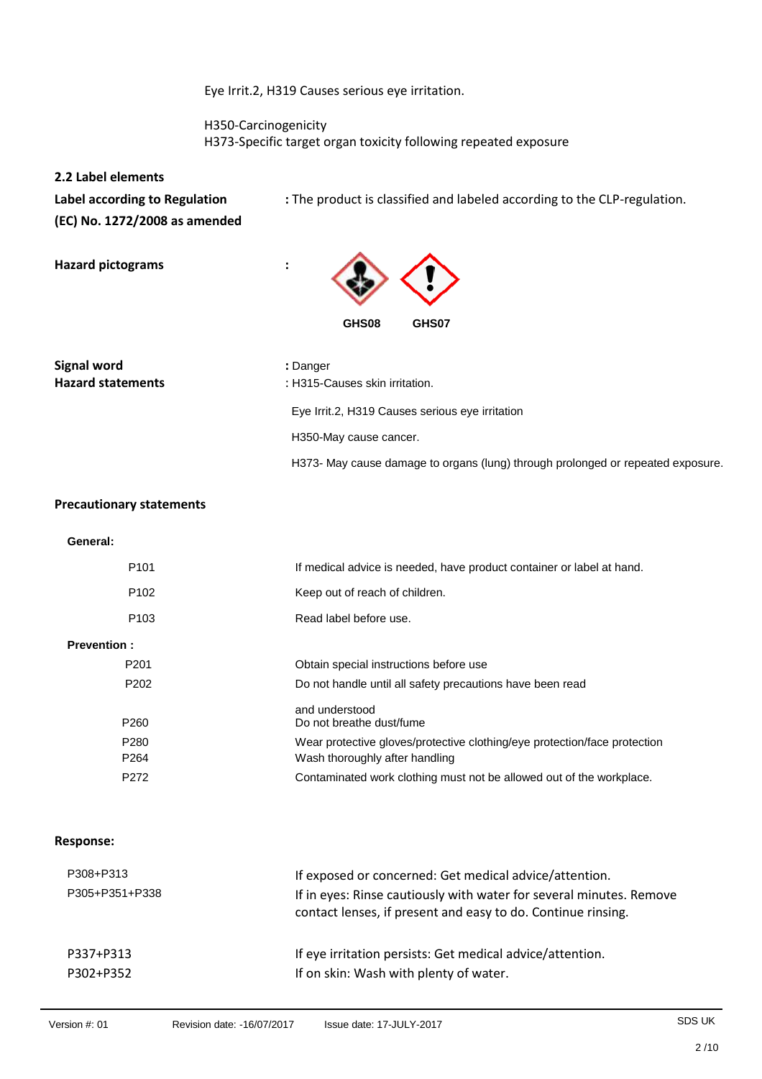Eye Irrit.2, H319 Causes serious eye irritation.

 H350-Carcinogenicity H373-Specific target organ toxicity following repeated exposure

**2.2 Label elements (EC) No. 1272/2008 as amended** 

Label according to Regulation : The product is classified and labeled according to the CLP-regulation.

**Hazard pictograms :** 



**Signal word in the signal word in the signal word in the signal signal word** 

Hazard statements **Hazard statements** : H315-Causes skin irritation. Eye Irrit.2, H319 Causes serious eye irritation H350-May cause cancer.

H373- May cause damage to organs (lung) through prolonged or repeated exposure.

### **Precautionary statements**

**General:**

| P <sub>101</sub>   | If medical advice is needed, have product container or label at hand.     |
|--------------------|---------------------------------------------------------------------------|
| P <sub>102</sub>   | Keep out of reach of children.                                            |
| P <sub>103</sub>   | Read label before use.                                                    |
| <b>Prevention:</b> |                                                                           |
| P <sub>201</sub>   | Obtain special instructions before use                                    |
| P <sub>202</sub>   | Do not handle until all safety precautions have been read                 |
| P <sub>260</sub>   | and understood<br>Do not breathe dust/fume                                |
| P <sub>280</sub>   | Wear protective gloves/protective clothing/eye protection/face protection |
| P <sub>264</sub>   | Wash thoroughly after handling                                            |
| P272               | Contaminated work clothing must not be allowed out of the workplace.      |

#### **Response:**

| P308+P313<br>P305+P351+P338 | If exposed or concerned: Get medical advice/attention.<br>If in eyes: Rinse cautiously with water for several minutes. Remove<br>contact lenses, if present and easy to do. Continue rinsing. |
|-----------------------------|-----------------------------------------------------------------------------------------------------------------------------------------------------------------------------------------------|
| P337+P313                   | If eye irritation persists: Get medical advice/attention.                                                                                                                                     |
| P302+P352                   | If on skin: Wash with plenty of water.                                                                                                                                                        |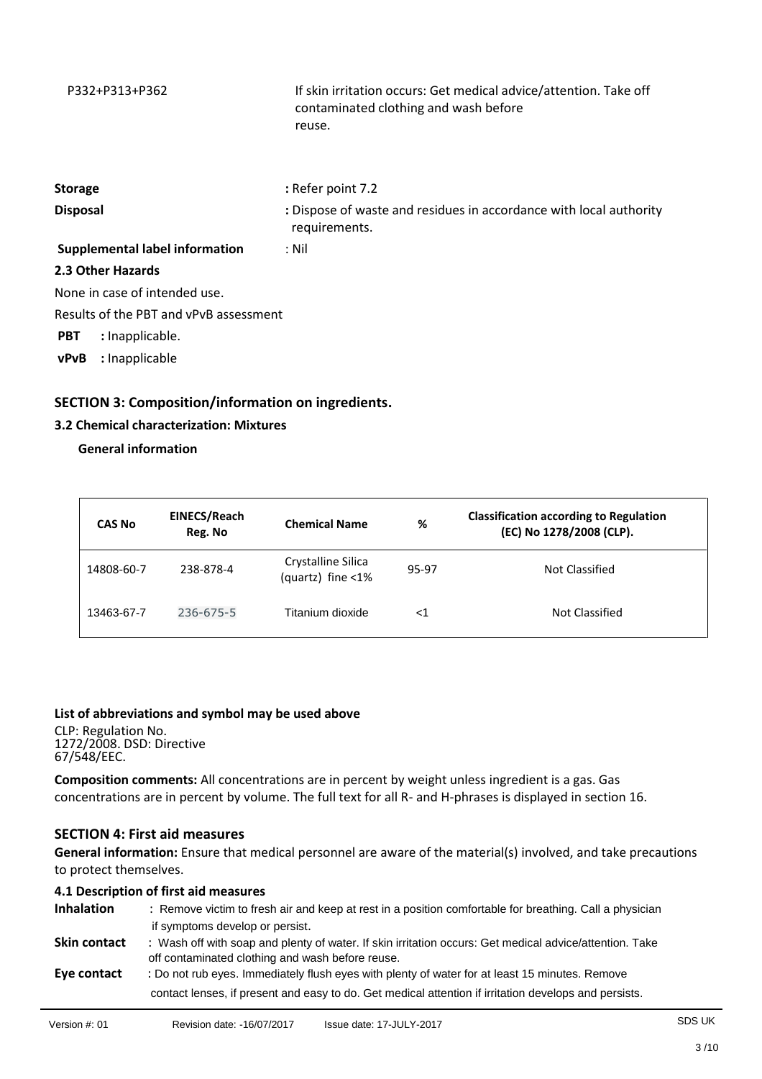| P332+P313+P362                         | If skin irritation occurs: Get medical advice/attention. Take off<br>contaminated clothing and wash before<br>reuse. |
|----------------------------------------|----------------------------------------------------------------------------------------------------------------------|
| <b>Storage</b>                         | : Refer point 7.2                                                                                                    |
| <b>Disposal</b>                        | : Dispose of waste and residues in accordance with local authority<br>requirements.                                  |
| <b>Supplemental label information</b>  | : Nil                                                                                                                |
| 2.3 Other Hazards                      |                                                                                                                      |
| None in case of intended use.          |                                                                                                                      |
| Results of the PBT and vPvB assessment |                                                                                                                      |
| <b>PBT</b><br>: Inapplicable.          |                                                                                                                      |
| : Inapplicable<br>vPvB                 |                                                                                                                      |

## **SECTION 3: Composition/information on ingredients.**

## **3.2 Chemical characterization: Mixtures**

### **General information**

| <b>CAS No</b> | EINECS/Reach<br>Reg. No | <b>Chemical Name</b>                    | %     | <b>Classification according to Regulation</b><br>(EC) No 1278/2008 (CLP). |
|---------------|-------------------------|-----------------------------------------|-------|---------------------------------------------------------------------------|
| 14808-60-7    | 238-878-4               | Crystalline Silica<br>(quartz) fine <1% | 95-97 | Not Classified                                                            |
| 13463-67-7    | 236-675-5               | Titanium dioxide                        | <1    | Not Classified                                                            |

### **List of abbreviations and symbol may be used above**

CLP: Regulation No. 1272/2008. DSD: Directive 67/548/EEC.

**Composition comments:** All concentrations are in percent by weight unless ingredient is a gas. Gas concentrations are in percent by volume. The full text for all R- and H-phrases is displayed in section 16.

## **SECTION 4: First aid measures**

**General information:** Ensure that medical personnel are aware of the material(s) involved, and take precautions to protect themselves.

## **4.1 Description of first aid measures**

| Inhalation   | : Remove victim to fresh air and keep at rest in a position comfortable for breathing. Call a physician<br>if symptoms develop or persist.                                                              |
|--------------|---------------------------------------------------------------------------------------------------------------------------------------------------------------------------------------------------------|
| Skin contact | : Wash off with soap and plenty of water. If skin irritation occurs: Get medical advice/attention. Take<br>off contaminated clothing and wash before reuse.                                             |
| Eye contact  | : Do not rub eyes. Immediately flush eyes with plenty of water for at least 15 minutes. Remove<br>contact lenses, if present and easy to do. Get medical attention if irritation develops and persists. |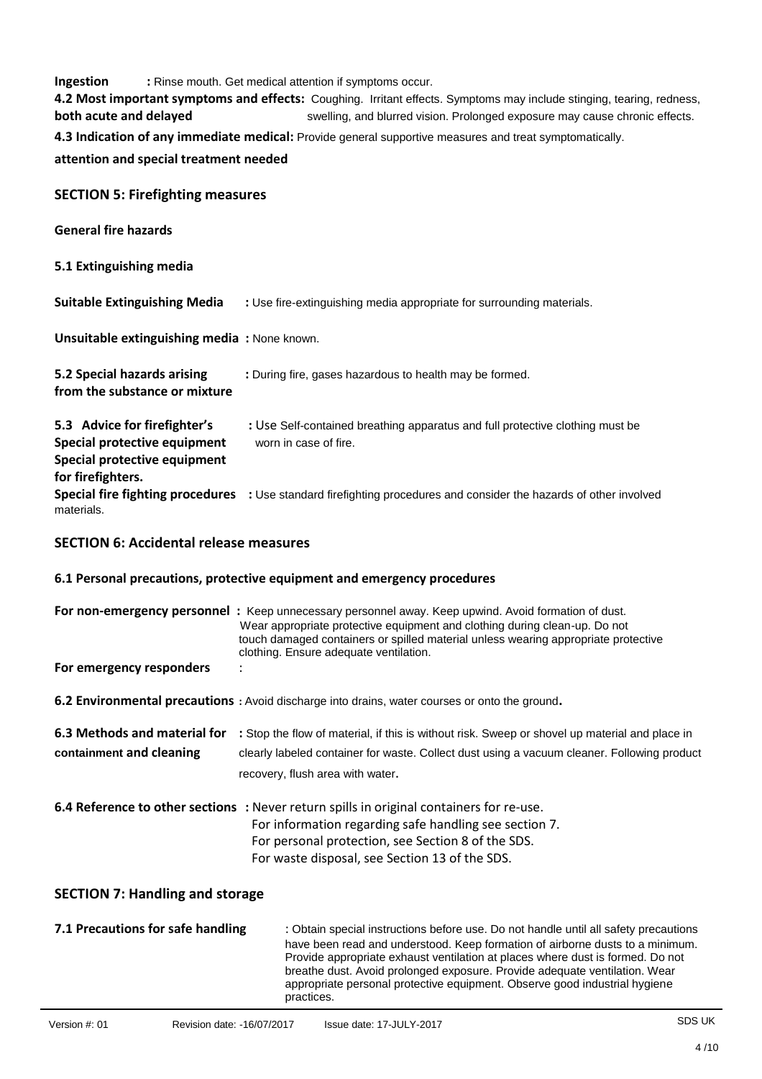| Ingestion<br>: Rinse mouth. Get medical attention if symptoms occur.<br>4.2 Most important symptoms and effects: Coughing. Irritant effects. Symptoms may include stinging, tearing, redness, |                                                                                                                                                                                                                                                                                                                    |  |  |
|-----------------------------------------------------------------------------------------------------------------------------------------------------------------------------------------------|--------------------------------------------------------------------------------------------------------------------------------------------------------------------------------------------------------------------------------------------------------------------------------------------------------------------|--|--|
| both acute and delayed                                                                                                                                                                        | swelling, and blurred vision. Prolonged exposure may cause chronic effects.                                                                                                                                                                                                                                        |  |  |
|                                                                                                                                                                                               | 4.3 Indication of any immediate medical: Provide general supportive measures and treat symptomatically.                                                                                                                                                                                                            |  |  |
| attention and special treatment needed                                                                                                                                                        |                                                                                                                                                                                                                                                                                                                    |  |  |
| <b>SECTION 5: Firefighting measures</b>                                                                                                                                                       |                                                                                                                                                                                                                                                                                                                    |  |  |
| <b>General fire hazards</b>                                                                                                                                                                   |                                                                                                                                                                                                                                                                                                                    |  |  |
| 5.1 Extinguishing media                                                                                                                                                                       |                                                                                                                                                                                                                                                                                                                    |  |  |
| <b>Suitable Extinguishing Media</b>                                                                                                                                                           | : Use fire-extinguishing media appropriate for surrounding materials.                                                                                                                                                                                                                                              |  |  |
| Unsuitable extinguishing media: None known.                                                                                                                                                   |                                                                                                                                                                                                                                                                                                                    |  |  |
| 5.2 Special hazards arising<br>from the substance or mixture                                                                                                                                  | : During fire, gases hazardous to health may be formed.                                                                                                                                                                                                                                                            |  |  |
| 5.3 Advice for firefighter's<br>Special protective equipment<br>Special protective equipment                                                                                                  | : Use Self-contained breathing apparatus and full protective clothing must be<br>worn in case of fire.                                                                                                                                                                                                             |  |  |
| for firefighters.<br>materials.                                                                                                                                                               | Special fire fighting procedures : Use standard firefighting procedures and consider the hazards of other involved                                                                                                                                                                                                 |  |  |
| <b>SECTION 6: Accidental release measures</b>                                                                                                                                                 |                                                                                                                                                                                                                                                                                                                    |  |  |
|                                                                                                                                                                                               | 6.1 Personal precautions, protective equipment and emergency procedures                                                                                                                                                                                                                                            |  |  |
|                                                                                                                                                                                               | For non-emergency personnel : Keep unnecessary personnel away. Keep upwind. Avoid formation of dust.<br>Wear appropriate protective equipment and clothing during clean-up. Do not<br>touch damaged containers or spilled material unless wearing appropriate protective<br>clothing. Ensure adequate ventilation. |  |  |
| For emergency responders                                                                                                                                                                      |                                                                                                                                                                                                                                                                                                                    |  |  |
|                                                                                                                                                                                               | 6.2 Environmental precautions : Avoid discharge into drains, water courses or onto the ground.                                                                                                                                                                                                                     |  |  |
| 6.3 Methods and material for                                                                                                                                                                  | : Stop the flow of material, if this is without risk. Sweep or shovel up material and place in                                                                                                                                                                                                                     |  |  |
| containment and cleaning                                                                                                                                                                      | clearly labeled container for waste. Collect dust using a vacuum cleaner. Following product                                                                                                                                                                                                                        |  |  |

recovery, flush area with water.

| <b>6.4 Reference to other sections</b> : Never return spills in original containers for re-use. |
|-------------------------------------------------------------------------------------------------|
| For information regarding safe handling see section 7.                                          |
| For personal protection, see Section 8 of the SDS.                                              |
| For waste disposal, see Section 13 of the SDS.                                                  |

## **SECTION 7: Handling and storage**

| 7.1 Precautions for safe handling | : Obtain special instructions before use. Do not handle until all safety precautions                                                                            |
|-----------------------------------|-----------------------------------------------------------------------------------------------------------------------------------------------------------------|
|                                   | have been read and understood. Keep formation of airborne dusts to a minimum.<br>Provide appropriate exhaust ventilation at places where dust is formed. Do not |
|                                   | breathe dust. Avoid prolonged exposure. Provide adequate ventilation. Wear                                                                                      |
|                                   | appropriate personal protective equipment. Observe good industrial hygiene<br>practices.                                                                        |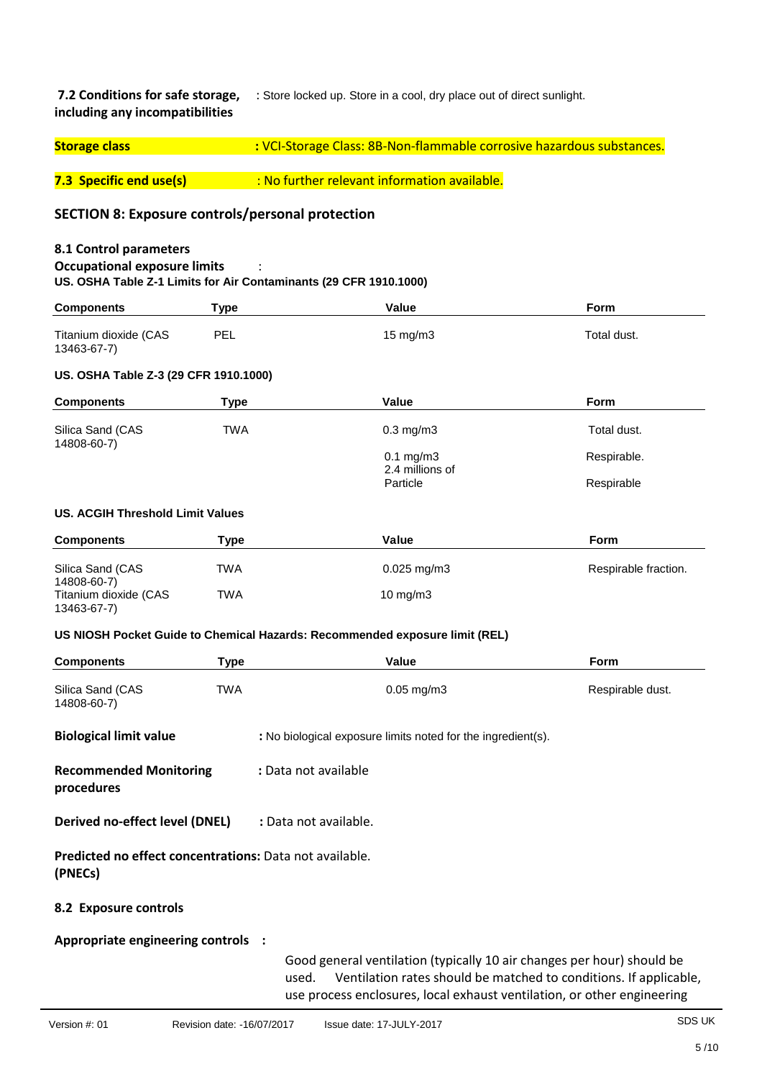**7.2 Conditions for safe storage,** : Store locked up. Store in a cool, dry place out of direct sunlight. **including any incompatibilities**

| <b>Storage class</b> | : VCI-Storage Class: 8B-Non-flammable corrosive hazardous substances. |
|----------------------|-----------------------------------------------------------------------|
|                      |                                                                       |

**7.3 Specific end use(s) :** No further relevant information available.

## **SECTION 8: Exposure controls/personal protection**

### **8.1 Control parameters**

### **Occupational exposure limits** :

**US. OSHA Table Z-1 Limits for Air Contaminants (29 CFR 1910.1000)**

| <b>Components</b>                     | Type       | Value             | Form        |
|---------------------------------------|------------|-------------------|-------------|
| Titanium dioxide (CAS<br>13463-67-7)  | <b>PEL</b> | $15 \text{ mg/m}$ | Total dust. |
| US. OSHA Table Z-3 (29 CFR 1910.1000) |            |                   |             |

## **Components Type Value Value Form** Silica Sand (CAS TWA TWA 0.3 mg/m3 Total dust. 14808-60-7)  $0.1 \text{ mg/m}3$  Respirable. 2.4 millions of Particle Respirable Respirable Respirable and the Respirable Respirable and the Respirable  $\mathsf{Res}$ **US. ACGIH Threshold Limit Values**

| <b>Components</b>     | Type | Value                     | <b>Form</b>          |
|-----------------------|------|---------------------------|----------------------|
|                       |      |                           |                      |
| Silica Sand (CAS      | TWA  | $0.025 \,\mathrm{mq/m}$ 3 | Respirable fraction. |
| 14808-60-7)           |      |                           |                      |
| Titanium dioxide (CAS | TWA  | $10 \text{ mg/m}$         |                      |
| 13463-67-7)           |      |                           |                      |

#### **US NIOSH Pocket Guide to Chemical Hazards: Recommended exposure limit (REL)**

| <b>Components</b>                                                         | Type | Value                                                                                                                                                      | Form                                                              |
|---------------------------------------------------------------------------|------|------------------------------------------------------------------------------------------------------------------------------------------------------------|-------------------------------------------------------------------|
| Silica Sand (CAS<br>14808-60-7)                                           | TWA  | $0.05$ mg/m $3$                                                                                                                                            | Respirable dust.                                                  |
| <b>Biological limit value</b>                                             |      | : No biological exposure limits noted for the ingredient(s).                                                                                               |                                                                   |
| <b>Recommended Monitoring</b><br>procedures                               |      | : Data not available                                                                                                                                       |                                                                   |
| Derived no-effect level (DNEL)                                            |      | : Data not available.                                                                                                                                      |                                                                   |
| <b>Predicted no effect concentrations:</b> Data not available.<br>(PNECs) |      |                                                                                                                                                            |                                                                   |
| 8.2 Exposure controls                                                     |      |                                                                                                                                                            |                                                                   |
| Appropriate engineering controls :                                        |      | Good general ventilation (typically 10 air changes per hour) should be<br>used.<br>use process enclosures, local exhaust ventilation, or other engineering | Ventilation rates should be matched to conditions. If applicable, |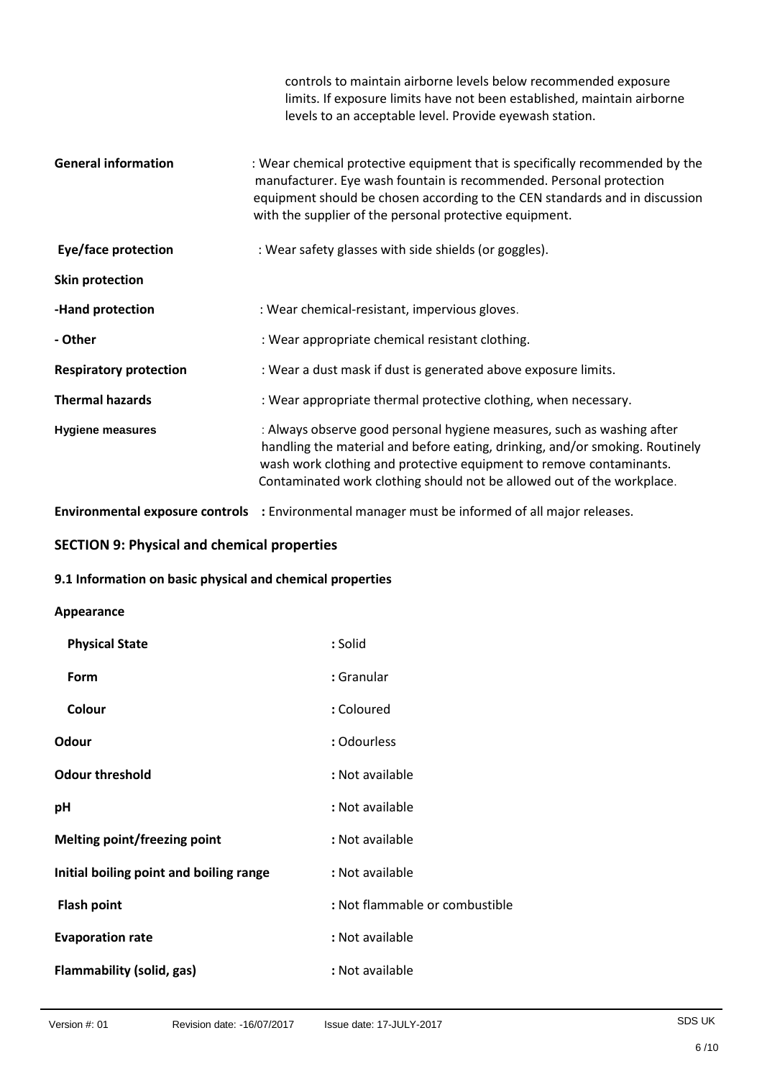|                               | controls to maintain airborne levels below recommended exposure<br>limits. If exposure limits have not been established, maintain airborne<br>levels to an acceptable level. Provide eyewash station.                                                                                                   |
|-------------------------------|---------------------------------------------------------------------------------------------------------------------------------------------------------------------------------------------------------------------------------------------------------------------------------------------------------|
| <b>General information</b>    | : Wear chemical protective equipment that is specifically recommended by the<br>manufacturer. Eye wash fountain is recommended. Personal protection<br>equipment should be chosen according to the CEN standards and in discussion<br>with the supplier of the personal protective equipment.           |
| Eye/face protection           | : Wear safety glasses with side shields (or goggles).                                                                                                                                                                                                                                                   |
| Skin protection               |                                                                                                                                                                                                                                                                                                         |
| -Hand protection              | : Wear chemical-resistant, impervious gloves.                                                                                                                                                                                                                                                           |
| - Other                       | : Wear appropriate chemical resistant clothing.                                                                                                                                                                                                                                                         |
| <b>Respiratory protection</b> | : Wear a dust mask if dust is generated above exposure limits.                                                                                                                                                                                                                                          |
| <b>Thermal hazards</b>        | : Wear appropriate thermal protective clothing, when necessary.                                                                                                                                                                                                                                         |
| <b>Hygiene measures</b>       | : Always observe good personal hygiene measures, such as washing after<br>handling the material and before eating, drinking, and/or smoking. Routinely<br>wash work clothing and protective equipment to remove contaminants.<br>Contaminated work clothing should not be allowed out of the workplace. |

**Environmental exposure controls :** Environmental manager must be informed of all major releases.

## **SECTION 9: Physical and chemical properties**

## **9.1 Information on basic physical and chemical properties**

### **Appearance**

| : Solid                        |
|--------------------------------|
| : Granular                     |
| : Coloured                     |
| : Odourless                    |
| : Not available                |
| : Not available                |
| : Not available                |
| : Not available                |
| : Not flammable or combustible |
| : Not available                |
| : Not available                |
|                                |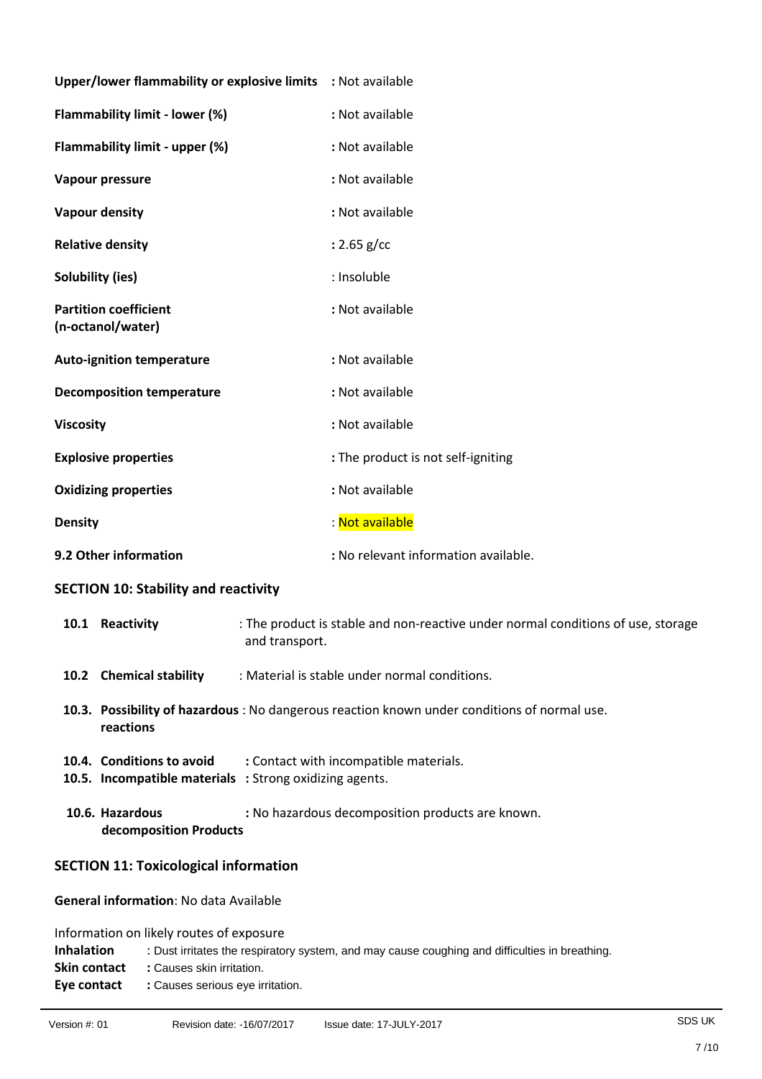| Upper/lower flammability or explosive limits : Not available |                                      |
|--------------------------------------------------------------|--------------------------------------|
| Flammability limit - lower (%)                               | : Not available                      |
| Flammability limit - upper (%)                               | : Not available                      |
| Vapour pressure                                              | : Not available                      |
| <b>Vapour density</b>                                        | : Not available                      |
| <b>Relative density</b>                                      | : $2.65$ g/cc                        |
| <b>Solubility (ies)</b>                                      | : Insoluble                          |
| <b>Partition coefficient</b><br>(n-octanol/water)            | : Not available                      |
| <b>Auto-ignition temperature</b>                             | : Not available                      |
| <b>Decomposition temperature</b>                             | : Not available                      |
| <b>Viscosity</b>                                             | : Not available                      |
| <b>Explosive properties</b>                                  | : The product is not self-igniting   |
| <b>Oxidizing properties</b>                                  | : Not available                      |
| <b>Density</b>                                               | : Not available                      |
| 9.2 Other information                                        | : No relevant information available. |

## **SECTION 10: Stability and reactivity**

| 10.1 | Reactivity                                    | : The product is stable and non-reactive under normal conditions of use, storage<br>and transport.       |
|------|-----------------------------------------------|----------------------------------------------------------------------------------------------------------|
|      | 10.2 Chemical stability                       | : Material is stable under normal conditions.                                                            |
|      | reactions                                     | 10.3. Possibility of hazardous : No dangerous reaction known under conditions of normal use.             |
|      | 10.4. Conditions to avoid                     | : Contact with incompatible materials.<br><b>10.5. Incompatible materials</b> : Strong oxidizing agents. |
|      | 10.6. Hazardous<br>decomposition Products     | : No hazardous decomposition products are known.                                                         |
|      | <b>SECTION 11: Toxicological information</b>  |                                                                                                          |
|      | <b>General information: No data Available</b> |                                                                                                          |

Information on likely routes of exposure

| <b>Inhalation</b> | : Dust irritates the respiratory system, and may cause coughing and difficulties in breathing. |
|-------------------|------------------------------------------------------------------------------------------------|
| Skin contact      | : Causes skin irritation.                                                                      |
| Eve contact       | : Causes serious eye irritation.                                                               |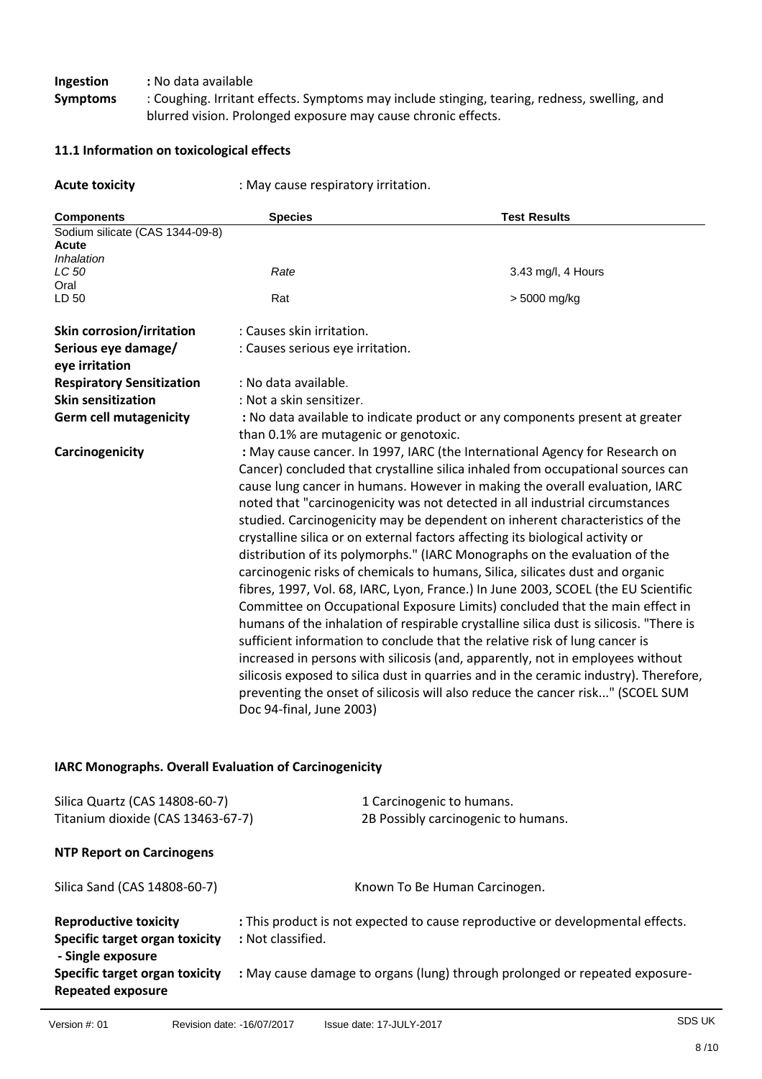**Ingestion** : No data available<br>**Symptoms** : Coughing. Irritant

**Symptoms** : Coughing. Irritant effects. Symptoms may include stinging, tearing, redness, swelling, and blurred vision. Prolonged exposure may cause chronic effects.

## **11.1 Information on toxicological effects**

| <b>Acute toxicity</b>                                  | : May cause respiratory irritation.                                                                                                                                                                                                                                                                                                                                                                                                                                                                                                                                                                                                                                                                                                                                                                                                                                                                                                                                                                                                                                                                                                                                                                                                                                                                    |                                     |  |  |
|--------------------------------------------------------|--------------------------------------------------------------------------------------------------------------------------------------------------------------------------------------------------------------------------------------------------------------------------------------------------------------------------------------------------------------------------------------------------------------------------------------------------------------------------------------------------------------------------------------------------------------------------------------------------------------------------------------------------------------------------------------------------------------------------------------------------------------------------------------------------------------------------------------------------------------------------------------------------------------------------------------------------------------------------------------------------------------------------------------------------------------------------------------------------------------------------------------------------------------------------------------------------------------------------------------------------------------------------------------------------------|-------------------------------------|--|--|
| <b>Components</b>                                      | <b>Species</b>                                                                                                                                                                                                                                                                                                                                                                                                                                                                                                                                                                                                                                                                                                                                                                                                                                                                                                                                                                                                                                                                                                                                                                                                                                                                                         | <b>Test Results</b>                 |  |  |
| Sodium silicate (CAS 1344-09-8)<br>Acute<br>Inhalation |                                                                                                                                                                                                                                                                                                                                                                                                                                                                                                                                                                                                                                                                                                                                                                                                                                                                                                                                                                                                                                                                                                                                                                                                                                                                                                        |                                     |  |  |
| LC 50<br>Oral                                          | Rate                                                                                                                                                                                                                                                                                                                                                                                                                                                                                                                                                                                                                                                                                                                                                                                                                                                                                                                                                                                                                                                                                                                                                                                                                                                                                                   | 3.43 mg/l, 4 Hours                  |  |  |
| LD 50                                                  | Rat                                                                                                                                                                                                                                                                                                                                                                                                                                                                                                                                                                                                                                                                                                                                                                                                                                                                                                                                                                                                                                                                                                                                                                                                                                                                                                    | > 5000 mg/kg                        |  |  |
| <b>Skin corrosion/irritation</b>                       | : Causes skin irritation.                                                                                                                                                                                                                                                                                                                                                                                                                                                                                                                                                                                                                                                                                                                                                                                                                                                                                                                                                                                                                                                                                                                                                                                                                                                                              |                                     |  |  |
| Serious eye damage/<br>eye irritation                  | : Causes serious eye irritation.                                                                                                                                                                                                                                                                                                                                                                                                                                                                                                                                                                                                                                                                                                                                                                                                                                                                                                                                                                                                                                                                                                                                                                                                                                                                       |                                     |  |  |
| <b>Respiratory Sensitization</b>                       | : No data available.                                                                                                                                                                                                                                                                                                                                                                                                                                                                                                                                                                                                                                                                                                                                                                                                                                                                                                                                                                                                                                                                                                                                                                                                                                                                                   |                                     |  |  |
| <b>Skin sensitization</b>                              | : Not a skin sensitizer.                                                                                                                                                                                                                                                                                                                                                                                                                                                                                                                                                                                                                                                                                                                                                                                                                                                                                                                                                                                                                                                                                                                                                                                                                                                                               |                                     |  |  |
| <b>Germ cell mutagenicity</b>                          | : No data available to indicate product or any components present at greater                                                                                                                                                                                                                                                                                                                                                                                                                                                                                                                                                                                                                                                                                                                                                                                                                                                                                                                                                                                                                                                                                                                                                                                                                           |                                     |  |  |
|                                                        | than 0.1% are mutagenic or genotoxic.                                                                                                                                                                                                                                                                                                                                                                                                                                                                                                                                                                                                                                                                                                                                                                                                                                                                                                                                                                                                                                                                                                                                                                                                                                                                  |                                     |  |  |
| Carcinogenicity                                        | : May cause cancer. In 1997, IARC (the International Agency for Research on<br>Cancer) concluded that crystalline silica inhaled from occupational sources can<br>cause lung cancer in humans. However in making the overall evaluation, IARC<br>noted that "carcinogenicity was not detected in all industrial circumstances<br>studied. Carcinogenicity may be dependent on inherent characteristics of the<br>crystalline silica or on external factors affecting its biological activity or<br>distribution of its polymorphs." (IARC Monographs on the evaluation of the<br>carcinogenic risks of chemicals to humans, Silica, silicates dust and organic<br>fibres, 1997, Vol. 68, IARC, Lyon, France.) In June 2003, SCOEL (the EU Scientific<br>Committee on Occupational Exposure Limits) concluded that the main effect in<br>humans of the inhalation of respirable crystalline silica dust is silicosis. "There is<br>sufficient information to conclude that the relative risk of lung cancer is<br>increased in persons with silicosis (and, apparently, not in employees without<br>silicosis exposed to silica dust in quarries and in the ceramic industry). Therefore,<br>preventing the onset of silicosis will also reduce the cancer risk" (SCOEL SUM<br>Doc 94-final, June 2003) |                                     |  |  |
| IARC Monographs. Overall Evaluation of Carcinogenicity |                                                                                                                                                                                                                                                                                                                                                                                                                                                                                                                                                                                                                                                                                                                                                                                                                                                                                                                                                                                                                                                                                                                                                                                                                                                                                                        |                                     |  |  |
| Silica Quartz (CAS 14808-60-7)                         |                                                                                                                                                                                                                                                                                                                                                                                                                                                                                                                                                                                                                                                                                                                                                                                                                                                                                                                                                                                                                                                                                                                                                                                                                                                                                                        | 1 Carcinogenic to humans.           |  |  |
| Titanium dioxide (CAS 13463-67-7)                      |                                                                                                                                                                                                                                                                                                                                                                                                                                                                                                                                                                                                                                                                                                                                                                                                                                                                                                                                                                                                                                                                                                                                                                                                                                                                                                        | 2B Possibly carcinogenic to humans. |  |  |

|  |  |  | <b>NTP Report on Carcinogens</b> |
|--|--|--|----------------------------------|
|--|--|--|----------------------------------|

| Silica Sand (CAS 14808-60-7)                                                               | Known To Be Human Carcinogen.                                                                       |
|--------------------------------------------------------------------------------------------|-----------------------------------------------------------------------------------------------------|
| <b>Reproductive toxicity</b><br><b>Specific target organ toxicity</b><br>- Single exposure | : This product is not expected to cause reproductive or developmental effects.<br>: Not classified. |
| <b>Specific target organ toxicity</b><br><b>Repeated exposure</b>                          | : May cause damage to organs (lung) through prolonged or repeated exposure-                         |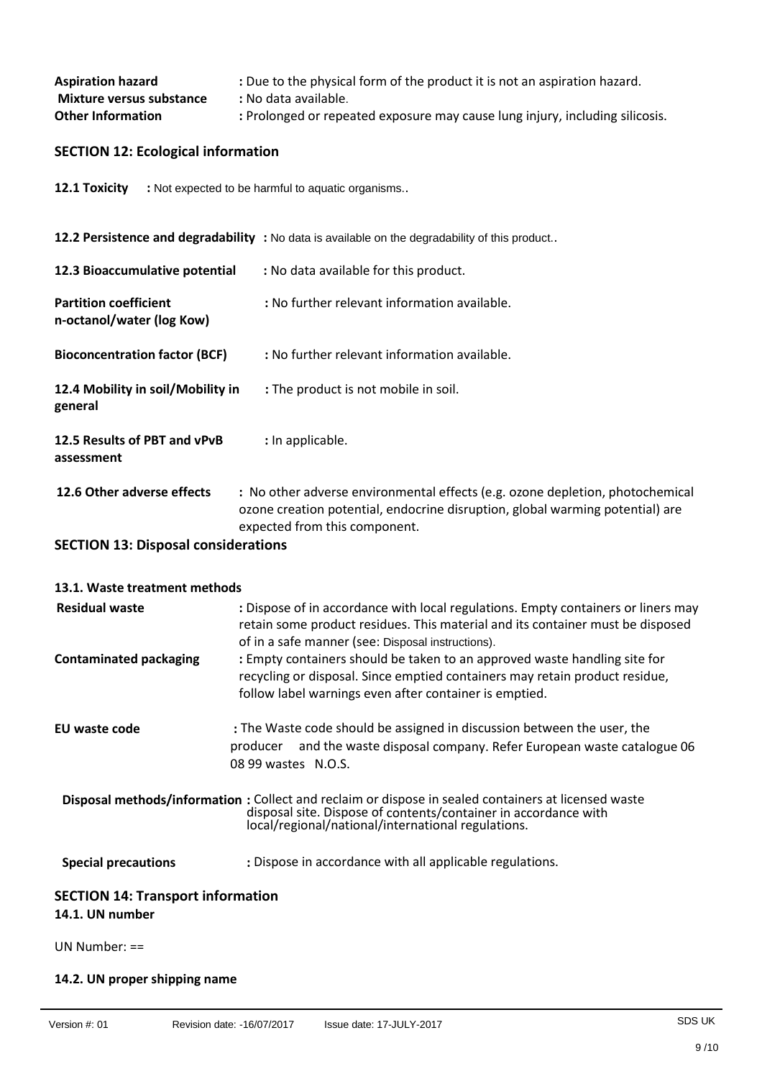| <b>Aspiration hazard</b> | : Due to the physical form of the product it is not an aspiration hazard.    |
|--------------------------|------------------------------------------------------------------------------|
| Mixture versus substance | : No data available.                                                         |
| <b>Other Information</b> | : Prolonged or repeated exposure may cause lung injury, including silicosis. |

# **SECTION 12: Ecological information**

12.1 Toxicity : Not expected to be harmful to aquatic organisms..

|                                                           | 12.2 Persistence and degradability : No data is available on the degradability of this product                                                                                                  |
|-----------------------------------------------------------|-------------------------------------------------------------------------------------------------------------------------------------------------------------------------------------------------|
| 12.3 Bioaccumulative potential                            | : No data available for this product.                                                                                                                                                           |
| <b>Partition coefficient</b><br>n-octanol/water (log Kow) | : No further relevant information available.                                                                                                                                                    |
| <b>Bioconcentration factor (BCF)</b>                      | : No further relevant information available.                                                                                                                                                    |
| 12.4 Mobility in soil/Mobility in<br>general              | : The product is not mobile in soil.                                                                                                                                                            |
| 12.5 Results of PBT and vPvB<br>assessment                | : In applicable.                                                                                                                                                                                |
| 12.6 Other adverse effects                                | : No other adverse environmental effects (e.g. ozone depletion, photochemical<br>ozone creation potential, endocrine disruption, global warming potential) are<br>expected from this component. |

**SECTION 13: Disposal considerations**

| 13.1. Waste treatment methods            |                                                                                                                                                                                                                               |  |
|------------------------------------------|-------------------------------------------------------------------------------------------------------------------------------------------------------------------------------------------------------------------------------|--|
| <b>Residual waste</b>                    | : Dispose of in accordance with local regulations. Empty containers or liners may<br>retain some product residues. This material and its container must be disposed<br>of in a safe manner (see: Disposal instructions).      |  |
| <b>Contaminated packaging</b>            | : Empty containers should be taken to an approved waste handling site for<br>recycling or disposal. Since emptied containers may retain product residue,<br>follow label warnings even after container is emptied.            |  |
| EU waste code                            | : The Waste code should be assigned in discussion between the user, the<br>producer and the waste disposal company. Refer European waste catalogue 06<br>$0899$ wastes $N.O.S.$                                               |  |
|                                          | Disposal methods/information : Collect and reclaim or dispose in sealed containers at licensed waste<br>disposal site. Dispose of contents/container in accordance with<br>local/regional/national/international regulations. |  |
| <b>Special precautions</b>               | : Dispose in accordance with all applicable regulations.                                                                                                                                                                      |  |
| <b>SECTION 14: Transport information</b> |                                                                                                                                                                                                                               |  |
| 14.1. UN number                          |                                                                                                                                                                                                                               |  |
| UN Number: $==$                          |                                                                                                                                                                                                                               |  |

**14.2. UN proper shipping name**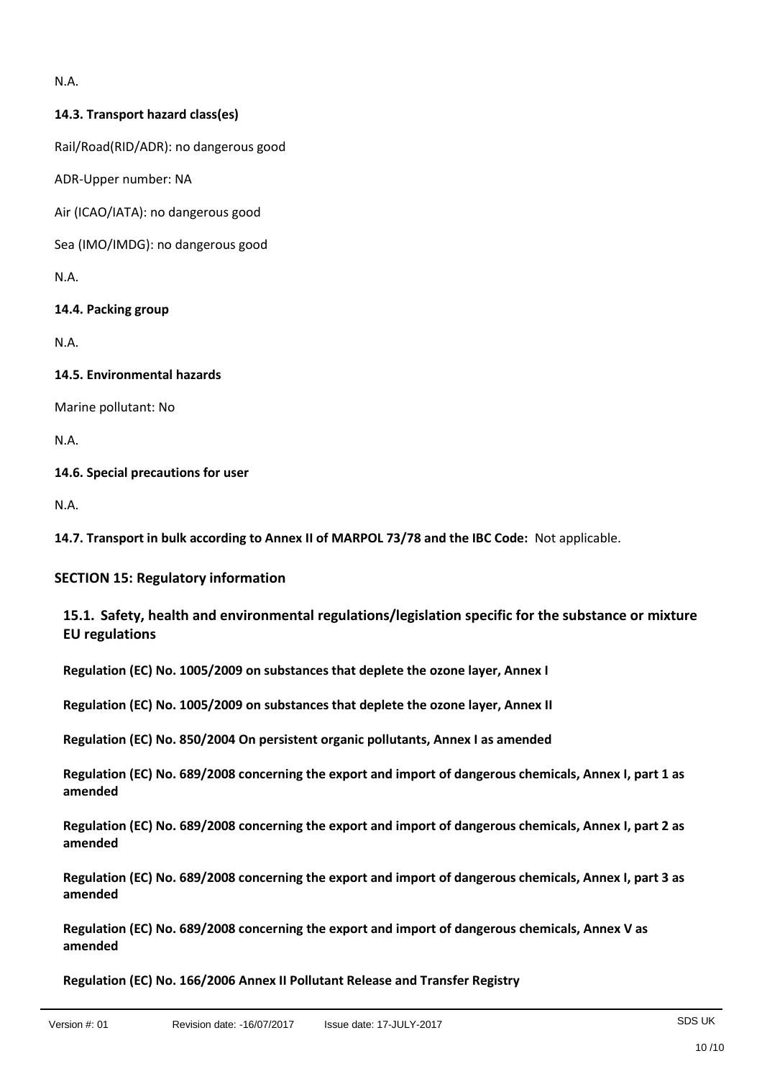N.A.

## **14.3. Transport hazard class(es)**

Rail/Road(RID/ADR): no dangerous good

ADR-Upper number: NA

Air (ICAO/IATA): no dangerous good

Sea (IMO/IMDG): no dangerous good

N.A.

**14.4. Packing group**

N.A.

### **14.5. Environmental hazards**

Marine pollutant: No

N.A.

### **14.6. Special precautions for user**

N.A.

**14.7. Transport in bulk according to Annex II of MARPOL 73/78 and the IBC Code:** Not applicable.

## **SECTION 15: Regulatory information**

## **15.1. Safety, health and environmental regulations/legislation specific for the substance or mixture EU regulations**

**Regulation (EC) No. 1005/2009 on substances that deplete the ozone layer, Annex I**

**Regulation (EC) No. 1005/2009 on substances that deplete the ozone layer, Annex II**

**Regulation (EC) No. 850/2004 On persistent organic pollutants, Annex I as amended**

**Regulation (EC) No. 689/2008 concerning the export and import of dangerous chemicals, Annex I, part 1 as amended**

**Regulation (EC) No. 689/2008 concerning the export and import of dangerous chemicals, Annex I, part 2 as amended**

**Regulation (EC) No. 689/2008 concerning the export and import of dangerous chemicals, Annex I, part 3 as amended**

**Regulation (EC) No. 689/2008 concerning the export and import of dangerous chemicals, Annex V as amended**

**Regulation (EC) No. 166/2006 Annex II Pollutant Release and Transfer Registry**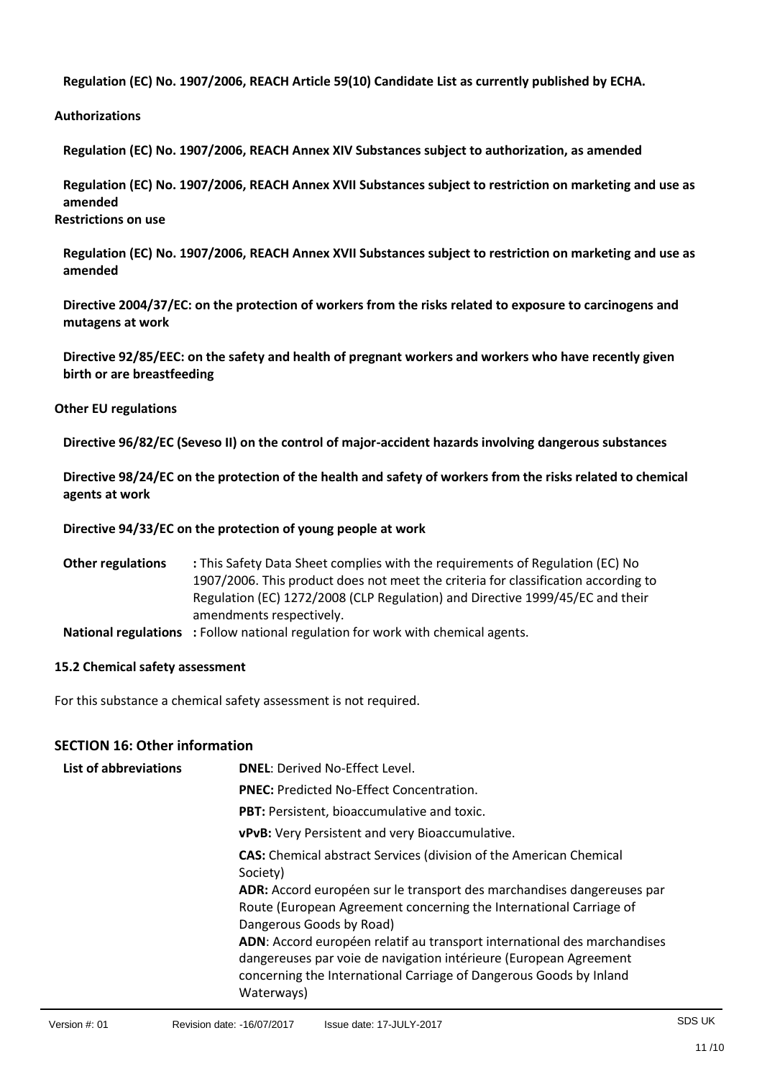**Regulation (EC) No. 1907/2006, REACH Article 59(10) Candidate List as currently published by ECHA.**

**Authorizations**

**Regulation (EC) No. 1907/2006, REACH Annex XIV Substances subject to authorization, as amended**

**Regulation (EC) No. 1907/2006, REACH Annex XVII Substances subject to restriction on marketing and use as amended Restrictions on use**

**Regulation (EC) No. 1907/2006, REACH Annex XVII Substances subject to restriction on marketing and use as amended**

**Directive 2004/37/EC: on the protection of workers from the risks related to exposure to carcinogens and mutagens at work**

**Directive 92/85/EEC: on the safety and health of pregnant workers and workers who have recently given birth or are breastfeeding**

### **Other EU regulations**

**Directive 96/82/EC (Seveso II) on the control of major-accident hazards involving dangerous substances**

**Directive 98/24/EC on the protection of the health and safety of workers from the risks related to chemical agents at work**

### **Directive 94/33/EC on the protection of young people at work**

**Other regulations :** This Safety Data Sheet complies with the requirements of Regulation (EC) No 1907/2006. This product does not meet the criteria for classification according to Regulation (EC) 1272/2008 (CLP Regulation) and Directive 1999/45/EC and their amendments respectively.

**National regulations :** Follow national regulation for work with chemical agents.

### **15.2 Chemical safety assessment**

For this substance a chemical safety assessment is not required.

## **SECTION 16: Other information**

| <b>List of abbreviations</b> | <b>DNEL: Derived No-Effect Level.</b>                                                                                                                                                                                             |
|------------------------------|-----------------------------------------------------------------------------------------------------------------------------------------------------------------------------------------------------------------------------------|
|                              | <b>PNEC:</b> Predicted No-Effect Concentration.                                                                                                                                                                                   |
|                              | PBT: Persistent, bioaccumulative and toxic.                                                                                                                                                                                       |
|                              | vPvB: Very Persistent and very Bioaccumulative.                                                                                                                                                                                   |
|                              | <b>CAS:</b> Chemical abstract Services (division of the American Chemical<br>Society)                                                                                                                                             |
|                              | ADR: Accord européen sur le transport des marchandises dangereuses par<br>Route (European Agreement concerning the International Carriage of<br>Dangerous Goods by Road)                                                          |
|                              | ADN: Accord européen relatif au transport international des marchandises<br>dangereuses par voie de navigation intérieure (European Agreement<br>concerning the International Carriage of Dangerous Goods by Inland<br>Waterways) |